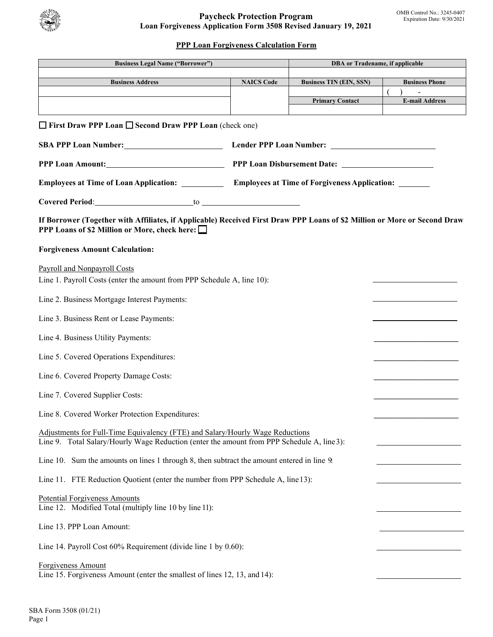

# **PPP Loan Forgiveness Calculation Form**

| <b>Business Legal Name ("Borrower")</b>                                                                                                                                      |                                                                                                            | <b>DBA</b> or Tradename, if applicable |                       |  |
|------------------------------------------------------------------------------------------------------------------------------------------------------------------------------|------------------------------------------------------------------------------------------------------------|----------------------------------------|-----------------------|--|
| <b>Business Address</b>                                                                                                                                                      | <b>NAICS Code</b>                                                                                          | <b>Business TIN (EIN, SSN)</b>         | <b>Business Phone</b> |  |
|                                                                                                                                                                              |                                                                                                            | <b>Primary Contact</b>                 | <b>E-mail Address</b> |  |
|                                                                                                                                                                              |                                                                                                            |                                        |                       |  |
| $\Box$ First Draw PPP Loan $\Box$ Second Draw PPP Loan (check one)                                                                                                           |                                                                                                            |                                        |                       |  |
|                                                                                                                                                                              | SBA PPP Loan Number: Lender PPP Loan Number: Lender PPP Loan Number:                                       |                                        |                       |  |
| PPP Loan Amount:                                                                                                                                                             |                                                                                                            |                                        |                       |  |
|                                                                                                                                                                              | Employees at Time of Loan Application: _____________ Employees at Time of Forgiveness Application: _______ |                                        |                       |  |
|                                                                                                                                                                              |                                                                                                            |                                        |                       |  |
| If Borrower (Together with Affiliates, if Applicable) Received First Draw PPP Loans of \$2 Million or More or Second Draw<br>PPP Loans of \$2 Million or More, check here: □ |                                                                                                            |                                        |                       |  |
| <b>Forgiveness Amount Calculation:</b>                                                                                                                                       |                                                                                                            |                                        |                       |  |
| Payroll and Nonpayroll Costs<br>Line 1. Payroll Costs (enter the amount from PPP Schedule A, line 10):                                                                       |                                                                                                            |                                        |                       |  |
| Line 2. Business Mortgage Interest Payments:                                                                                                                                 |                                                                                                            |                                        |                       |  |
| Line 3. Business Rent or Lease Payments:                                                                                                                                     |                                                                                                            |                                        |                       |  |
| Line 4. Business Utility Payments:                                                                                                                                           |                                                                                                            |                                        |                       |  |
| Line 5. Covered Operations Expenditures:                                                                                                                                     |                                                                                                            |                                        |                       |  |
| Line 6. Covered Property Damage Costs:                                                                                                                                       |                                                                                                            |                                        |                       |  |
| Line 7. Covered Supplier Costs:                                                                                                                                              |                                                                                                            |                                        |                       |  |
| Line 8. Covered Worker Protection Expenditures:                                                                                                                              |                                                                                                            |                                        |                       |  |
| Adjustments for Full-Time Equivalency (FTE) and Salary/Hourly Wage Reductions<br>Line 9. Total Salary/Hourly Wage Reduction (enter the amount from PPP Schedule A, line 3):  |                                                                                                            |                                        |                       |  |
| Line 10. Sum the amounts on lines 1 through 8, then subtract the amount entered in line 9.                                                                                   |                                                                                                            |                                        |                       |  |
| Line 11. FTE Reduction Quotient (enter the number from PPP Schedule A, line 13):                                                                                             |                                                                                                            |                                        |                       |  |
| <b>Potential Forgiveness Amounts</b><br>Line 12. Modified Total (multiply line 10 by line 11):                                                                               |                                                                                                            |                                        |                       |  |
| Line 13. PPP Loan Amount:                                                                                                                                                    |                                                                                                            |                                        |                       |  |
| Line 14. Payroll Cost 60% Requirement (divide line 1 by 0.60):                                                                                                               |                                                                                                            |                                        |                       |  |
| Forgiveness Amount<br>Line 15. Forgiveness Amount (enter the smallest of lines 12, 13, and 14):                                                                              |                                                                                                            |                                        |                       |  |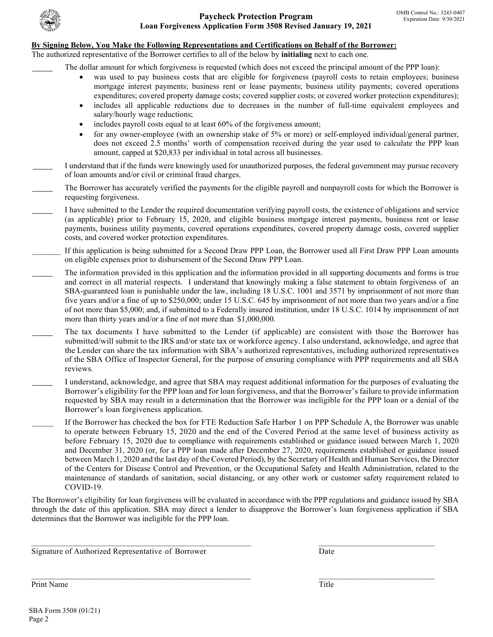

#### **By Signing Below, You Make the Following Representations and Certifications on Behalf of the Borrower:**

The authorized representative of the Borrower certifies to all of the below by **initialing** next to each one.

The dollar amount for which forgiveness is requested (which does not exceed the principal amount of the PPP loan):

- was used to pay business costs that are eligible for forgiveness (payroll costs to retain employees; business mortgage interest payments; business rent or lease payments; business utility payments; covered operations expenditures; covered property damage costs; covered supplier costs; or covered worker protection expenditures);
- includes all applicable reductions due to decreases in the number of full-time equivalent employees and salary/hourly wage reductions;
- includes payroll costs equal to at least 60% of the forgiveness amount;
- does not exceed 2.5 months' worth of compensation received during the year used to calculate the PPP loan amount, capped at \$20,833 per individual in total across all businesses. • for any owner-employee (with an ownership stake of 5% or more) or self-employed individual/general partner,
- I understand that if the funds were knowingly used for unauthorized purposes, the federal government may pursue recovery of loan amounts and/or civil or criminal fraud charges.
- The Borrower has accurately verified the payments for the eligible payroll and nonpayroll costs for which the Borrower is requesting forgiveness.
	- payments, business utility payments, covered operations expenditures, covered property damage costs, covered supplier costs, and covered worker protection expenditures. I have submitted to the Lender the required documentation verifying payroll costs, the existence of obligations and service (as applicable) prior to February 15, 2020, and eligible business mortgage interest payments, business rent or lease
- If this application is being submitted for a Second Draw PPP Loan, the Borrower used all First Draw PPP Loan amounts on eligible expenses prior to disbursement of the Second Draw PPP Loan.
	- and correct in all material respects. I understand that knowingly making a false statement to obtain forgiveness of an of not more than \$5,000; and, if submitted to a Federally insured institution, under 18 U.S.C. 1014 by imprisonment of not more than thirty years and/or a fine of not more than \$1,000,000. The information provided in this application and the information provided in all supporting documents and forms is true SBA-guaranteed loan is punishable under the law, including 18 U.S.C. 1001 and 3571 by imprisonment of not more than five years and/or a fine of up to \$250,000; under 15 U.S.C. 645 by imprisonment of not more than two years and/or a fine
- The tax documents I have submitted to the Lender (if applicable) are consistent with those the Borrower has submitted/will submit to the IRS and/or state tax or workforce agency. I also understand, acknowledge, and agree that the Lender can share the tax information with SBA's authorized representatives, including authorized representatives of the SBA Office of Inspector General, for the purpose of ensuring compliance with PPP requirements and all SBA reviews.
- I understand, acknowledge, and agree that SBA may request additional information for the purposes of evaluating the Borrower's eligibility for the PPP loan and for loan forgiveness, and that the Borrower's failure to provide information requested by SBA may result in a determination that the Borrower was ineligible for the PPP loan or a denial of the Borrower's loan forgiveness application.
- \_\_\_\_\_ If the Borrower has checked the box for FTE Reduction Safe Harbor 1 on PPP Schedule A, the Borrower was unable before February 15, 2020 due to compliance with requirements established or guidance issued between March 1, 2020 maintenance of standards of sanitation, social distancing, or any other work or customer safety requirement related to to operate between February 15, 2020 and the end of the Covered Period at the same level of business activity as and December 31, 2020 (or, for a PPP loan made after December 27, 2020, requirements established or guidance issued between March 1, 2020 and the last day of the Covered Period), by the Secretary of Health and Human Services, the Director of the Centers for Disease Control and Prevention, or the Occupational Safety and Health Administration, related to the COVID-19.

 determines that the Borrower was ineligible for the PPP loan. The Borrower's eligibility for loan forgiveness will be evaluated in accordance with the PPP regulations and guidance issued by SBA through the date of this application. SBA may direct a lender to disapprove the Borrower's loan forgiveness application if SBA

\_\_\_\_\_\_\_\_\_\_\_\_\_\_\_\_\_\_\_\_\_\_\_\_\_\_\_\_\_\_\_\_\_\_\_\_\_\_\_\_\_\_\_\_\_\_\_\_\_\_\_\_\_ \_\_\_\_\_\_\_\_\_\_\_\_\_\_\_\_\_\_\_\_\_\_\_\_\_\_\_\_

\_\_\_\_\_\_\_\_\_\_\_\_\_\_\_\_\_\_\_\_\_\_\_\_\_\_\_\_\_\_\_\_\_\_\_\_\_\_\_\_\_\_\_\_\_\_\_\_\_\_\_\_\_ \_\_\_\_\_\_\_\_\_\_\_\_\_\_\_\_\_\_\_\_\_\_\_\_\_\_\_\_

Signature of Authorized Representative of Borrower **Date** Date

Print Name Print Name Title **The Community of the Community Community** Community Community Community Community Community Community Community Community Community Community Community Community Community Community Community Community Co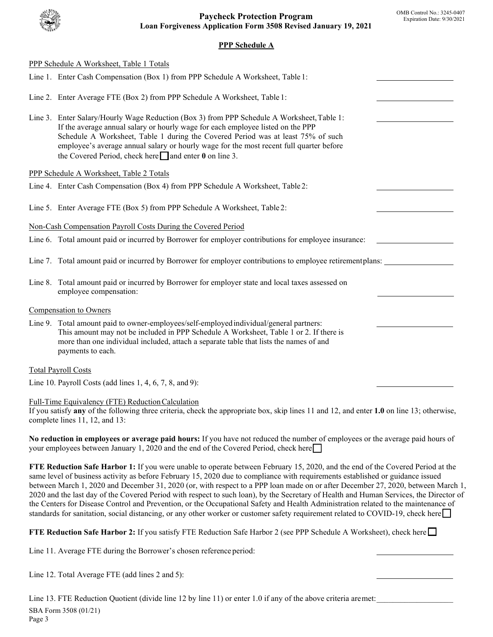# **PPP Schedule A**

| PPP Schedule A Worksheet, Table 1 Totals                                                                                                                                                                                                                                                                                                                                                                                                                                                                                                                                                                                                                                                                                                                                                                                |  |  |
|-------------------------------------------------------------------------------------------------------------------------------------------------------------------------------------------------------------------------------------------------------------------------------------------------------------------------------------------------------------------------------------------------------------------------------------------------------------------------------------------------------------------------------------------------------------------------------------------------------------------------------------------------------------------------------------------------------------------------------------------------------------------------------------------------------------------------|--|--|
| Line 1. Enter Cash Compensation (Box 1) from PPP Schedule A Worksheet, Table 1:                                                                                                                                                                                                                                                                                                                                                                                                                                                                                                                                                                                                                                                                                                                                         |  |  |
| Line 2. Enter Average FTE (Box 2) from PPP Schedule A Worksheet, Table 1:                                                                                                                                                                                                                                                                                                                                                                                                                                                                                                                                                                                                                                                                                                                                               |  |  |
| Line 3. Enter Salary/Hourly Wage Reduction (Box 3) from PPP Schedule A Worksheet, Table 1:<br>If the average annual salary or hourly wage for each employee listed on the PPP<br>Schedule A Worksheet, Table 1 during the Covered Period was at least 75% of such<br>employee's average annual salary or hourly wage for the most recent full quarter before<br>the Covered Period, check here $\Box$ and enter 0 on line 3.                                                                                                                                                                                                                                                                                                                                                                                            |  |  |
| PPP Schedule A Worksheet, Table 2 Totals                                                                                                                                                                                                                                                                                                                                                                                                                                                                                                                                                                                                                                                                                                                                                                                |  |  |
| Line 4. Enter Cash Compensation (Box 4) from PPP Schedule A Worksheet, Table 2:                                                                                                                                                                                                                                                                                                                                                                                                                                                                                                                                                                                                                                                                                                                                         |  |  |
| Line 5. Enter Average FTE (Box 5) from PPP Schedule A Worksheet, Table 2:                                                                                                                                                                                                                                                                                                                                                                                                                                                                                                                                                                                                                                                                                                                                               |  |  |
| Non-Cash Compensation Payroll Costs During the Covered Period                                                                                                                                                                                                                                                                                                                                                                                                                                                                                                                                                                                                                                                                                                                                                           |  |  |
| Line 6. Total amount paid or incurred by Borrower for employer contributions for employee insurance:                                                                                                                                                                                                                                                                                                                                                                                                                                                                                                                                                                                                                                                                                                                    |  |  |
| Line 7. Total amount paid or incurred by Borrower for employer contributions to employee retirement plans:                                                                                                                                                                                                                                                                                                                                                                                                                                                                                                                                                                                                                                                                                                              |  |  |
| Line 8. Total amount paid or incurred by Borrower for employer state and local taxes assessed on<br>employee compensation:                                                                                                                                                                                                                                                                                                                                                                                                                                                                                                                                                                                                                                                                                              |  |  |
| Compensation to Owners                                                                                                                                                                                                                                                                                                                                                                                                                                                                                                                                                                                                                                                                                                                                                                                                  |  |  |
| Line 9. Total amount paid to owner-employees/self-employed individual/general partners:<br>This amount may not be included in PPP Schedule A Worksheet, Table 1 or 2. If there is<br>more than one individual included, attach a separate table that lists the names of and<br>payments to each.                                                                                                                                                                                                                                                                                                                                                                                                                                                                                                                        |  |  |
| <b>Total Payroll Costs</b>                                                                                                                                                                                                                                                                                                                                                                                                                                                                                                                                                                                                                                                                                                                                                                                              |  |  |
| Line 10. Payroll Costs (add lines $1, 4, 6, 7, 8,$ and 9):                                                                                                                                                                                                                                                                                                                                                                                                                                                                                                                                                                                                                                                                                                                                                              |  |  |
| Full-Time Equivalency (FTE) Reduction Calculation<br>If you satisfy any of the following three criteria, check the appropriate box, skip lines 11 and 12, and enter 1.0 on line 13; otherwise,<br>complete lines $11, 12,$ and $13$ :                                                                                                                                                                                                                                                                                                                                                                                                                                                                                                                                                                                   |  |  |
| No reduction in employees or average paid hours: If you have not reduced the number of employees or the average paid hours of<br>your employees between January 1, 2020 and the end of the Covered Period, check here                                                                                                                                                                                                                                                                                                                                                                                                                                                                                                                                                                                                   |  |  |
| FTE Reduction Safe Harbor 1: If you were unable to operate between February 15, 2020, and the end of the Covered Period at the<br>same level of business activity as before February 15, 2020 due to compliance with requirements established or guidance issued<br>between March 1, 2020 and December 31, 2020 (or, with respect to a PPP loan made on or after December 27, 2020, between March 1,<br>2020 and the last day of the Covered Period with respect to such loan), by the Secretary of Health and Human Services, the Director of<br>the Centers for Disease Control and Prevention, or the Occupational Safety and Health Administration related to the maintenance of<br>standards for sanitation, social distancing, or any other worker or customer safety requirement related to COVID-19, check here |  |  |
| FTE Reduction Safe Harbor 2: If you satisfy FTE Reduction Safe Harbor 2 (see PPP Schedule A Worksheet), check here                                                                                                                                                                                                                                                                                                                                                                                                                                                                                                                                                                                                                                                                                                      |  |  |
| Line 11. Average FTE during the Borrower's chosen reference period:                                                                                                                                                                                                                                                                                                                                                                                                                                                                                                                                                                                                                                                                                                                                                     |  |  |
| Line 12. Total Average FTE (add lines 2 and 5):                                                                                                                                                                                                                                                                                                                                                                                                                                                                                                                                                                                                                                                                                                                                                                         |  |  |

Line 13. FTE Reduction Quotient (divide line 12 by line 11) or enter 1.0 if any of the above criteria aremet: SBA Form 3508 (01/21) Page 3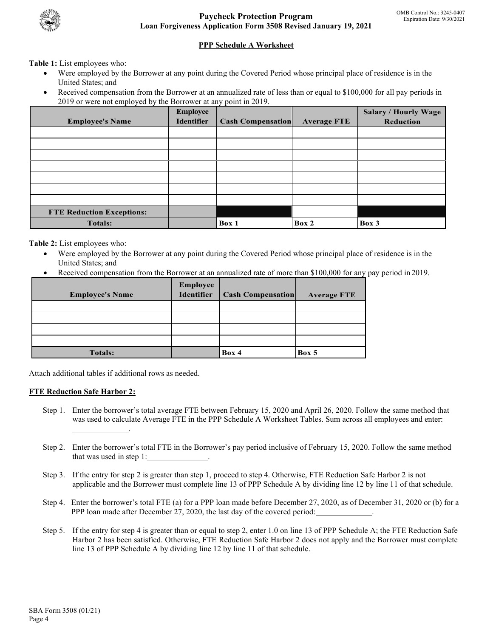

# **PPP Schedule A Worksheet**

**Table 1:** List employees who:

- Were employed by the Borrower at any point during the Covered Period whose principal place of residence is in the United States; and
- Received compensation from the Borrower at an annualized rate of less than or equal to \$100,000 for all pay periods in 2019 or were not employed by the Borrower at any point in 2019.

|                                  | <b>Employee</b>   |                          |                    | <b>Salary / Hourly Wage</b> |
|----------------------------------|-------------------|--------------------------|--------------------|-----------------------------|
| <b>Employee's Name</b>           | <b>Identifier</b> | <b>Cash Compensation</b> | <b>Average FTE</b> | Reduction                   |
|                                  |                   |                          |                    |                             |
|                                  |                   |                          |                    |                             |
|                                  |                   |                          |                    |                             |
|                                  |                   |                          |                    |                             |
|                                  |                   |                          |                    |                             |
|                                  |                   |                          |                    |                             |
|                                  |                   |                          |                    |                             |
| <b>FTE Reduction Exceptions:</b> |                   |                          |                    |                             |
| <b>Totals:</b>                   |                   | Box 1                    | Box 2              | Box 3                       |

**Table 2:** List employees who:

- Were employed by the Borrower at any point during the Covered Period whose principal place of residence is in the United States; and
- Received compensation from the Borrower at an annualized rate of more than \$100,000 for any pay period in 2019.

| <b>Employee's Name</b> | Employee<br>Identifier | <b>Cash Compensation</b> | <b>Average FTE</b> |
|------------------------|------------------------|--------------------------|--------------------|
|                        |                        |                          |                    |
|                        |                        |                          |                    |
|                        |                        |                          |                    |
|                        |                        |                          |                    |
| <b>Totals:</b>         |                        | Box 4                    | Box 5              |

Attach additional tables if additional rows as needed.

### **FTE Reduction Safe Harbor 2:**

- Step 1. Enter the borrower's total average FTE between February 15, 2020 and April 26, 2020. Follow the same method that was used to calculate Average FTE in the PPP Schedule A Worksheet Tables. Sum across all employees and enter: .
- that was used in step 1: \_\_\_\_\_\_\_\_\_\_\_\_\_\_. Step 2. Enter the borrower's total FTE in the Borrower's pay period inclusive of February 15, 2020. Follow the same method
- Step 3. If the entry for step 2 is greater than step 1, proceed to step 4. Otherwise, FTE Reduction Safe Harbor 2 is not applicable and the Borrower must complete line 13 of PPP Schedule A by dividing line 12 by line 11 of that schedule.
- PPP loan made after December 27, 2020, the last day of the covered period: \_\_\_\_\_\_\_\_\_\_\_\_. Step 4. Enter the borrower's total FTE (a) for a PPP loan made before December 27, 2020, as of December 31, 2020 or (b) for a
- Step 5. If the entry for step 4 is greater than or equal to step 2, enter 1.0 on line 13 of PPP Schedule A; the FTE Reduction Safe Harbor 2 has been satisfied. Otherwise, FTE Reduction Safe Harbor 2 does not apply and the Borrower must complete line 13 of PPP Schedule A by dividing line 12 by line 11 of that schedule.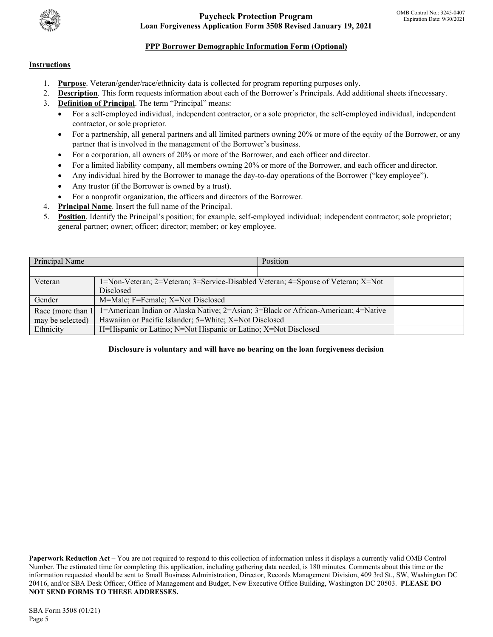

**Paycheck Protection Program Loan Forgiveness Application Form 3508 Revised January 19, 2021** 

# **PPP Borrower Demographic Information Form (Optional)**

### **Instructions**

- 1. **Purpose**. Veteran/gender/race/ethnicity data is collected for program reporting purposes only.
- 2. **Description**. This form requests information about each of the Borrower's Principals. Add additional sheets ifnecessary.
- 3. **Definition of Principal**. The term "Principal" means:
	- contractor, or sole proprietor. • For a self-employed individual, independent contractor, or a sole proprietor, the self-employed individual, independent
	- • For a partnership, all general partners and all limited partners owning 20% or more of the equity of the Borrower, or any partner that is involved in the management of the Borrower's business.
	- For a corporation, all owners of 20% or more of the Borrower, and each officer and director.
	- For a limited liability company, all members owning 20% or more of the Borrower, and each officer and director.
	- Any individual hired by the Borrower to manage the day-to-day operations of the Borrower ("key employee").
	- Any trustor (if the Borrower is owned by a trust).
	- For a nonprofit organization, the officers and directors of the Borrower.
- 4. **Principal Name**. Insert the full name of the Principal.
- general partner; owner; officer; director; member; or key employee. 5. **Position**. Identify the Principal's position; for example, self-employed individual; independent contractor; sole proprietor;

| Principal Name     | Position                                                                           |  |  |
|--------------------|------------------------------------------------------------------------------------|--|--|
|                    |                                                                                    |  |  |
| Veteran            | 1=Non-Veteran; 2=Veteran; 3=Service-Disabled Veteran; 4=Spouse of Veteran; X=Not   |  |  |
|                    | <b>Disclosed</b>                                                                   |  |  |
| Gender             | M=Male; F=Female; X=Not Disclosed                                                  |  |  |
| Race (more than 1) | 1=American Indian or Alaska Native; 2=Asian; 3=Black or African-American; 4=Native |  |  |
| may be selected)   | Hawaiian or Pacific Islander; 5=White; X=Not Disclosed                             |  |  |
| Ethnicity          | H=Hispanic or Latino; N=Not Hispanic or Latino; X=Not Disclosed                    |  |  |

#### **Disclosure is voluntary and will have no bearing on the loan forgiveness decision**

 20416, and/or SBA Desk Officer, Office of Management and Budget, New Executive Office Building, Washington DC 20503. **PLEASE DO Paperwork Reduction Act** – You are not required to respond to this collection of information unless it displays a currently valid OMB Control Number. The estimated time for completing this application, including gathering data needed, is 180 minutes. Comments about this time or the information requested should be sent to Small Business Administration, Director, Records Management Division, 409 3rd St., SW, Washington DC **NOT SEND FORMS TO THESE ADDRESSES.**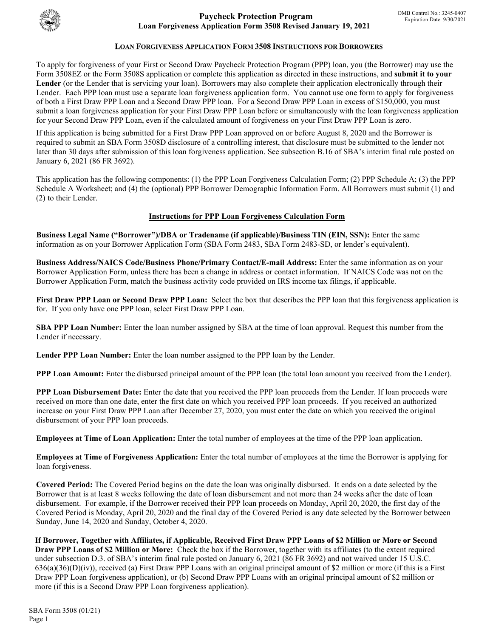

### **LOAN FORGIVENESS APPLICATION FORM 3508 INSTRUCTIONS FOR BORROWERS**

To apply for forgiveness of your First or Second Draw Paycheck Protection Program (PPP) loan, you (the Borrower) may use the Form 3508EZ or the Form 3508S application or complete this application as directed in these instructions, and **submit it to your Lender** (or the Lender that is servicing your loan). Borrowers may also complete their application electronically through their Lender. Each PPP loan must use a separate loan forgiveness application form. You cannot use one form to apply for forgiveness of both a First Draw PPP Loan and a Second Draw PPP loan. For a Second Draw PPP Loan in excess of \$150,000, you must submit a loan forgiveness application for your First Draw PPP Loan before or simultaneously with the loan forgiveness application for your Second Draw PPP Loan, even if the calculated amount of forgiveness on your First Draw PPP Loan is zero.

If this application is being submitted for a First Draw PPP Loan approved on or before August 8, 2020 and the Borrower is required to submit an SBA Form 3508D disclosure of a controlling interest, that disclosure must be submitted to the lender not later than 30 days after submission of this loan forgiveness application. See subsection B.16 of SBA's interim final rule posted on January 6, 2021 (86 FR 3692).

This application has the following components: (1) the PPP Loan Forgiveness Calculation Form; (2) PPP Schedule A; (3) the PPP Schedule A Worksheet; and (4) the (optional) PPP Borrower Demographic Information Form. All Borrowers must submit (1) and (2) to their Lender.

#### **Instructions for PPP Loan Forgiveness Calculation Form**

**Business Legal Name ("Borrower")/DBA or Tradename (if applicable)/Business TIN (EIN, SSN):** Enter the same information as on your Borrower Application Form (SBA Form 2483, SBA Form 2483-SD, or lender's equivalent).

**Business Address/NAICS Code/Business Phone/Primary Contact/E-mail Address:** Enter the same information as on your Borrower Application Form, unless there has been a change in address or contact information. If NAICS Code was not on the Borrower Application Form, match the business activity code provided on IRS income tax filings, if applicable.

**First Draw PPP Loan or Second Draw PPP Loan:** Select the box that describes the PPP loan that this forgiveness application is for. If you only have one PPP loan, select First Draw PPP Loan.

**SBA PPP Loan Number:** Enter the loan number assigned by SBA at the time of loan approval. Request this number from the Lender if necessary.

**Lender PPP Loan Number:** Enter the loan number assigned to the PPP loan by the Lender.

**PPP Loan Amount:** Enter the disbursed principal amount of the PPP loan (the total loan amount you received from the Lender).

**PPP Loan Disbursement Date:** Enter the date that you received the PPP loan proceeds from the Lender. If loan proceeds were received on more than one date, enter the first date on which you received PPP loan proceeds. If you received an authorized increase on your First Draw PPP Loan after December 27, 2020, you must enter the date on which you received the original disbursement of your PPP loan proceeds.

**Employees at Time of Loan Application:** Enter the total number of employees at the time of the PPP loan application.

**Employees at Time of Forgiveness Application:** Enter the total number of employees at the time the Borrower is applying for loan forgiveness.

**Covered Period:** The Covered Period begins on the date the loan was originally disbursed. It ends on a date selected by the Borrower that is at least 8 weeks following the date of loan disbursement and not more than 24 weeks after the date of loan disbursement. For example, if the Borrower received their PPP loan proceeds on Monday, April 20, 2020, the first day of the Covered Period is Monday, April 20, 2020 and the final day of the Covered Period is any date selected by the Borrower between Sunday, June 14, 2020 and Sunday, October 4, 2020.

**If Borrower, Together with Affiliates, if Applicable, Received First Draw PPP Loans of \$2 Million or More or Second Draw PPP Loans of \$2 Million or More:** Check the box if the Borrower, together with its affiliates (to the extent required under subsection D.3. of SBA's interim final rule posted on January 6, 2021 (86 FR 3692) and not waived under 15 U.S.C.  $636(a)(36)(D)(iv)$ , received (a) First Draw PPP Loans with an original principal amount of \$2 million or more (if this is a First Draw PPP Loan forgiveness application), or (b) Second Draw PPP Loans with an original principal amount of \$2 million or more (if this is a Second Draw PPP Loan forgiveness application).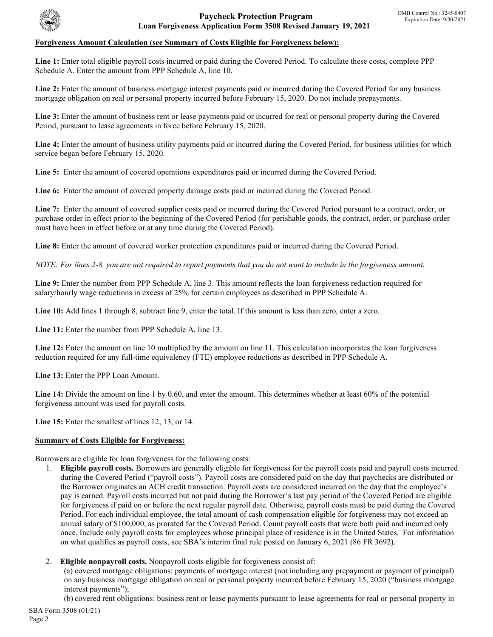

### **Forgiveness Amount Calculation (see Summary of Costs Eligible for Forgiveness below):**

**Line 1:** Enter total eligible payroll costs incurred or paid during the Covered Period. To calculate these costs, complete PPP Schedule A. Enter the amount from PPP Schedule A, line 10.

Line 2: Enter the amount of business mortgage interest payments paid or incurred during the Covered Period for any business mortgage obligation on real or personal property incurred before February 15, 2020. Do not include prepayments.

Line 3: Enter the amount of business rent or lease payments paid or incurred for real or personal property during the Covered Period, pursuant to lease agreements in force before February 15, 2020.

Line 4: Enter the amount of business utility payments paid or incurred during the Covered Period, for business utilities for which service began before February 15, 2020.

**Line 5:** Enter the amount of covered operations expenditures paid or incurred during the Covered Period.

**Line 6:** Enter the amount of covered property damage costs paid or incurred during the Covered Period.

**Line 7:** Enter the amount of covered supplier costs paid or incurred during the Covered Period pursuant to a contract, order, or purchase order in effect prior to the beginning of the Covered Period (for perishable goods, the contract, order, or purchase order must have been in effect before or at any time during the Covered Period).

**Line 8:** Enter the amount of covered worker protection expenditures paid or incurred during the Covered Period.

*NOTE: For lines 2-8, you are not required to report payments that you do not want to include in the forgiveness amount.*

Line 9: Enter the number from PPP Schedule A, line 3. This amount reflects the loan forgiveness reduction required for salary/hourly wage reductions in excess of 25% for certain employees as described in PPP Schedule A.

Line 10: Add lines 1 through 8, subtract line 9, enter the total. If this amount is less than zero, enter a zero.

Line 11: Enter the number from PPP Schedule A, line 13.

Line 12: Enter the amount on line 10 multiplied by the amount on line 11. This calculation incorporates the loan forgiveness reduction required for any full-time equivalency (FTE) employee reductions as described in PPP Schedule A.

**Line 13:** Enter the PPP Loan Amount.

Line 14: Divide the amount on line 1 by 0.60, and enter the amount. This determines whether at least 60% of the potential forgiveness amount was used for payroll costs.

**Line 15:** Enter the smallest of lines 12, 13, or 14.

### **Summary of Costs Eligible for Forgiveness:**

Borrowers are eligible for loan forgiveness for the following costs:

- 1. **Eligible payroll costs.** Borrowers are generally eligible for forgiveness for the payroll costs paid and payroll costs incurred during the Covered Period ("payroll costs"). Payroll costs are considered paid on the day that paychecks are distributed or the Borrower originates an ACH credit transaction. Payroll costs are considered incurred on the day that the employee's pay is earned. Payroll costs incurred but not paid during the Borrower's last pay period of the Covered Period are eligible for forgiveness if paid on or before the next regular payroll date. Otherwise, payroll costs must be paid during the Covered Period. For each individual employee, the total amount of cash compensation eligible for forgiveness may not exceed an annual salary of \$100,000, as prorated for the Covered Period. Count payroll costs that were both paid and incurred only once. Include only payroll costs for employees whose principal place of residence is in the United States. For information on what qualifies as payroll costs, see SBA's interim final rule posted on January 6, 2021 (86 FR 3692).
- 2. **Eligible nonpayroll costs.** Nonpayroll costs eligible for forgiveness consist of:

(a) covered mortgage obligations: payments of mortgage interest (not including any prepayment or payment of principal) on any business mortgage obligation on real or personal property incurred before February 15, 2020 ("business mortgage interest payments");

(b) covered rent obligations: business rent or lease payments pursuant to lease agreements for real or personal property in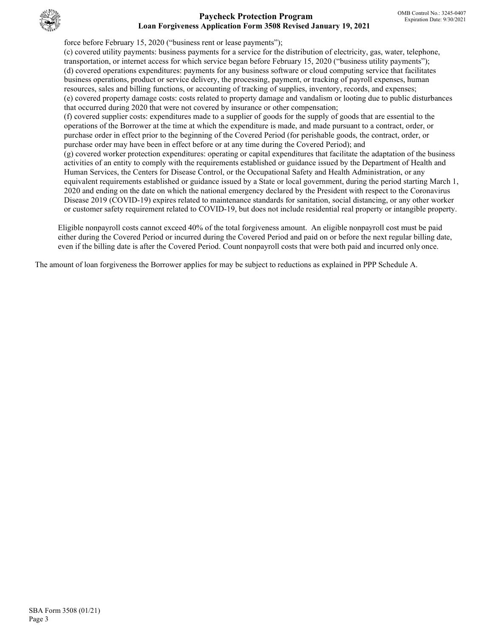

### **Paycheck Protection Program Loan Forgiveness Application Form 3508 Revised January 19, 2021**

force before February 15, 2020 ("business rent or lease payments");

(c) covered utility payments: business payments for a service for the distribution of electricity, gas, water, telephone, transportation, or internet access for which service began before February 15, 2020 ("business utility payments"); (d) covered operations expenditures: payments for any business software or cloud computing service that facilitates business operations, product or service delivery, the processing, payment, or tracking of payroll expenses, human resources, sales and billing functions, or accounting of tracking of supplies, inventory, records, and expenses; (e) covered property damage costs: costs related to property damage and vandalism or looting due to public disturbances that occurred during 2020 that were not covered by insurance or other compensation;

(f) covered supplier costs: expenditures made to a supplier of goods for the supply of goods that are essential to the operations of the Borrower at the time at which the expenditure is made, and made pursuant to a contract, order, or purchase order in effect prior to the beginning of the Covered Period (for perishable goods, the contract, order, or purchase order may have been in effect before or at any time during the Covered Period); and (g) covered worker protection expenditures: operating or capital expenditures that facilitate the adaptation of the business activities of an entity to comply with the requirements established or guidance issued by the Department of Health and Human Services, the Centers for Disease Control, or the Occupational Safety and Health Administration, or any equivalent requirements established or guidance issued by a State or local government, during the period starting March 1, 2020 and ending on the date on which the national emergency declared by the President with respect to the Coronavirus Disease 2019 (COVID-19) expires related to maintenance standards for sanitation, social distancing, or any other worker or customer safety requirement related to COVID-19, but does not include residential real property or intangible property.

Eligible nonpayroll costs cannot exceed 40% of the total forgiveness amount. An eligible nonpayroll cost must be paid either during the Covered Period or incurred during the Covered Period and paid on or before the next regular billing date, even if the billing date is after the Covered Period. Count nonpayroll costs that were both paid and incurred only once.

The amount of loan forgiveness the Borrower applies for may be subject to reductions as explained in PPP Schedule A.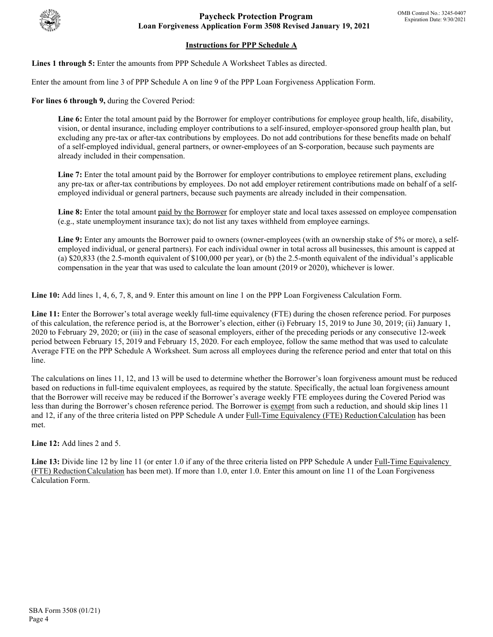

# **Instructions for PPP Schedule A**

**Lines 1 through 5:** Enter the amounts from PPP Schedule A Worksheet Tables as directed.

Enter the amount from line 3 of PPP Schedule A on line 9 of the PPP Loan Forgiveness Application Form.

**For lines 6 through 9,** during the Covered Period:

Line 6: Enter the total amount paid by the Borrower for employer contributions for employee group health, life, disability, vision, or dental insurance, including employer contributions to a self-insured, employer-sponsored group health plan, but excluding any pre-tax or after-tax contributions by employees. Do not add contributions for these benefits made on behalf of a self-employed individual, general partners, or owner-employees of an S-corporation, because such payments are already included in their compensation.

Line 7: Enter the total amount paid by the Borrower for employer contributions to employee retirement plans, excluding any pre-tax or after-tax contributions by employees. Do not add employer retirement contributions made on behalf of a selfemployed individual or general partners, because such payments are already included in their compensation.

Line 8: Enter the total amount paid by the Borrower for employer state and local taxes assessed on employee compensation (e.g., state unemployment insurance tax); do not list any taxes withheld from employee earnings.

Line 9: Enter any amounts the Borrower paid to owners (owner-employees (with an ownership stake of 5% or more), a selfemployed individual, or general partners). For each individual owner in total across all businesses, this amount is capped at (a) \$20,833 (the 2.5-month equivalent of \$100,000 per year), or (b) the 2.5-month equivalent of the individual's applicable compensation in the year that was used to calculate the loan amount (2019 or 2020), whichever is lower.

**Line 10:** Add lines 1, 4, 6, 7, 8, and 9. Enter this amount on line 1 on the PPP Loan Forgiveness Calculation Form.

**Line 11:** Enter the Borrower's total average weekly full-time equivalency (FTE) during the chosen reference period. For purposes of this calculation, the reference period is, at the Borrower's election, either (i) February 15, 2019 to June 30, 2019; (ii) January 1, 2020 to February 29, 2020; or (iii) in the case of seasonal employers, either of the preceding periods or any consecutive 12-week period between February 15, 2019 and February 15, 2020. For each employee, follow the same method that was used to calculate Average FTE on the PPP Schedule A Worksheet. Sum across all employees during the reference period and enter that total on this line.

The calculations on lines 11, 12, and 13 will be used to determine whether the Borrower's loan forgiveness amount must be reduced based on reductions in full-time equivalent employees, as required by the statute. Specifically, the actual loan forgiveness amount that the Borrower will receive may be reduced if the Borrower's average weekly FTE employees during the Covered Period was less than during the Borrower's chosen reference period. The Borrower is exempt from such a reduction, and should skip lines 11 and 12, if any of the three criteria listed on PPP Schedule A under Full-Time Equivalency (FTE) Reduction Calculation has been met.

**Line 12:** Add lines 2 and 5.

Line 13: Divide line 12 by line 11 (or enter 1.0 if any of the three criteria listed on PPP Schedule A under Full-Time Equivalency (FTE) ReductionCalculation has been met). If more than 1.0, enter 1.0. Enter this amount on line 11 of the Loan Forgiveness Calculation Form.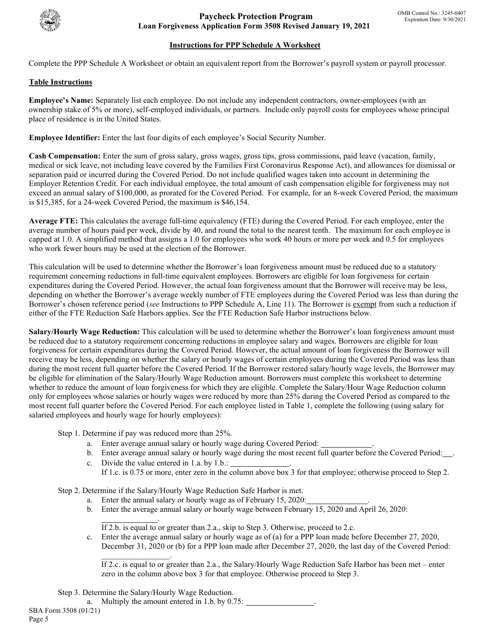

# **Instructions for PPP Schedule A Worksheet**

Complete the PPP Schedule A Worksheet or obtain an equivalent report from the Borrower's payroll system or payroll processor.

### **Table Instructions**

**Employee's Name:** Separately list each employee. Do not include any independent contractors, owner-employees (with an ownership stake of 5% or more), self-employed individuals, or partners. Include only payroll costs for employees whose principal place of residence is in the United States.

**Employee Identifier:** Enter the last four digits of each employee's Social Security Number.

**Cash Compensation:** Enter the sum of gross salary, gross wages, gross tips, gross commissions, paid leave (vacation, family, medical or sick leave, not including leave covered by the Families First Coronavirus Response Act), and allowances for dismissal or separation paid or incurred during the Covered Period. Do not include qualified wages taken into account in determining the Employer Retention Credit. For each individual employee, the total amount of cash compensation eligible for forgiveness may not exceed an annual salary of \$100,000, as prorated for the Covered Period. For example, for an 8-week Covered Period, the maximum is \$15,385, for a 24-week Covered Period, the maximum is \$46,154.

**Average FTE:** This calculates the average full-time equivalency (FTE) during the Covered Period. For each employee, enter the average number of hours paid per week, divide by 40, and round the total to the nearest tenth. The maximum for each employee is capped at 1.0. A simplified method that assigns a 1.0 for employees who work 40 hours or more per week and 0.5 for employees who work fewer hours may be used at the election of the Borrower.

This calculation will be used to determine whether the Borrower's loan forgiveness amount must be reduced due to a statutory requirement concerning reductions in full-time equivalent employees. Borrowers are eligible for loan forgiveness for certain expenditures during the Covered Period. However, the actual loan forgiveness amount that the Borrower will receive may be less, depending on whether the Borrower's average weekly number of FTE employees during the Covered Period was less than during the Borrower's chosen reference period (*see* Instructions to PPP Schedule A, Line 11). The Borrower is exempt from such a reduction if either of the FTE Reduction Safe Harbors applies. See the FTE Reduction Safe Harbor instructions below.

**Salary/Hourly Wage Reduction:** This calculation will be used to determine whether the Borrower's loan forgiveness amount must be reduced due to a statutory requirement concerning reductions in employee salary and wages. Borrowers are eligible for loan forgiveness for certain expenditures during the Covered Period. However, the actual amount of loan forgiveness the Borrower will receive may be less, depending on whether the salary or hourly wages of certain employees during the Covered Period was less than during the most recent full quarter before the Covered Period. If the Borrower restored salary/hourly wage levels, the Borrower may be eligible for elimination of the Salary/Hourly Wage Reduction amount. Borrowers must complete this worksheet to determine whether to reduce the amount of loan forgiveness for which they are eligible. Complete the Salary/Hour Wage Reduction column only for employees whose salaries or hourly wages were reduced by more than 25% during the Covered Period as compared to the most recent full quarter before the Covered Period. For each employee listed in Table 1, complete the following (using salary for salaried employees and hourly wage for hourly employees):

Step 1. Determine if pay was reduced more than 25%.

- a. Enter average annual salary or hourly wage during Covered Period: .
- b. Enter average annual salary or hourly wage during the most recent full quarter before the Covered Period: .
- c. Divide the value entered in  $1.a.$  by  $1.b.:$ If 1.c. is 0.75 or more, enter zero in the column above box 3 for that employee; otherwise proceed to Step 2.

Step 2. Determine if the Salary/Hourly Wage Reduction Safe Harbor is met.

- a. Enter the annual salary or hourly wage as of February 15, 2020:
- b. Enter the average annual salary or hourly wage between February 15, 2020 and April 26, 2020:

. If 2.b. is equal to or greater than 2.a., skip to Step 3. Otherwise, proceed to 2.c.

c. Enter the average annual salary or hourly wage as of (a) for a PPP loan made before December 27, 2020, December 31, 2020 or (b) for a PPP loan made after December 27, 2020, the last day of the Covered Period:

If 2.c. is equal to or greater than 2.a., the Salary/Hourly Wage Reduction Safe Harbor has been met – enter zero in the column above box 3 for that employee. Otherwise proceed to Step 3.

Step 3. Determine the Salary/Hourly Wage Reduction.

 $\mathcal{L}=\mathcal{L}^{\mathcal{L}}$  , where  $\mathcal{L}^{\mathcal{L}}$ 

SBA Form 3508 (01/21) a. Multiply the amount entered in 1.b. by  $0.75$ :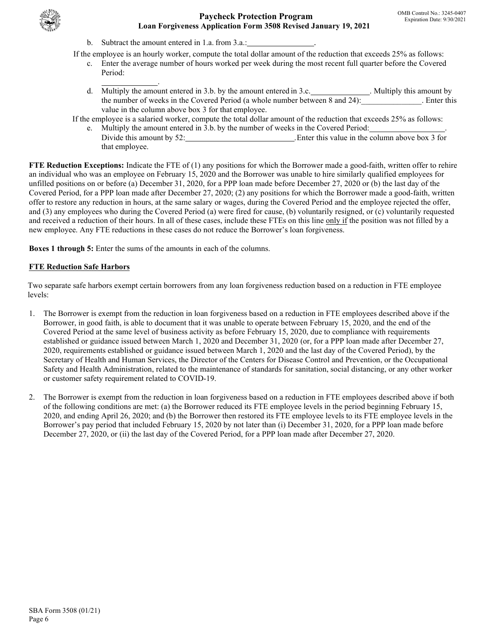

- b. Subtract the amount entered in 1.a. from 3.a.:
- If the employee is an hourly worker, compute the total dollar amount of the reduction that exceeds 25% as follows:
	- c. Enter the average number of hours worked per week during the most recent full quarter before the Covered Period: .
		- d. Multiply the amount entered in 3.b. by the amount entered in 3.c. Nultiply this amount by the number of weeks in the Covered Period (a whole number between 8 and 24):\_\_\_\_\_\_\_\_\_\_\_\_\_\_\_. Enter this value in the column above box 3 for that employee.

If the employee is a salaried worker, compute the total dollar amount of the reduction that exceeds 25% as follows:

e. Multiply the amount entered in 3.b. by the number of weeks in the Covered Period: Divide this amount by 52: . Enter this value in the column above box 3 for that employee.

**FTE Reduction Exceptions:** Indicate the FTE of (1) any positions for which the Borrower made a good-faith, written offer to rehire an individual who was an employee on February 15, 2020 and the Borrower was unable to hire similarly qualified employees for unfilled positions on or before (a) December 31, 2020, for a PPP loan made before December 27, 2020 or (b) the last day of the Covered Period, for a PPP loan made after December 27, 2020; (2) any positions for which the Borrower made a good-faith, written offer to restore any reduction in hours, at the same salary or wages, during the Covered Period and the employee rejected the offer, and (3) any employees who during the Covered Period (a) were fired for cause, (b) voluntarily resigned, or (c) voluntarily requested and received a reduction of their hours. In all of these cases, include these FTEs on this line only if the position was not filled by a new employee. Any FTE reductions in these cases do not reduce the Borrower's loan forgiveness.

**Boxes 1 through 5:** Enter the sums of the amounts in each of the columns.

# **FTE Reduction Safe Harbors**

Two separate safe harbors exempt certain borrowers from any loan forgiveness reduction based on a reduction in FTE employee levels:

- 1. The Borrower is exempt from the reduction in loan forgiveness based on a reduction in FTE employees described above if the Borrower, in good faith, is able to document that it was unable to operate between February 15, 2020, and the end of the Covered Period at the same level of business activity as before February 15, 2020, due to compliance with requirements established or guidance issued between March 1, 2020 and December 31, 2020 (or, for a PPP loan made after December 27, 2020, requirements established or guidance issued between March 1, 2020 and the last day of the Covered Period), by the Secretary of Health and Human Services, the Director of the Centers for Disease Control and Prevention, or the Occupational Safety and Health Administration, related to the maintenance of standards for sanitation, social distancing, or any other worker or customer safety requirement related to COVID-19.
- 2. The Borrower is exempt from the reduction in loan forgiveness based on a reduction in FTE employees described above if both of the following conditions are met: (a) the Borrower reduced its FTE employee levels in the period beginning February 15, 2020, and ending April 26, 2020; and (b) the Borrower then restored its FTE employee levels to its FTE employee levels in the Borrower's pay period that included February 15, 2020 by not later than (i) December 31, 2020, for a PPP loan made before December 27, 2020, or (ii) the last day of the Covered Period, for a PPP loan made after December 27, 2020.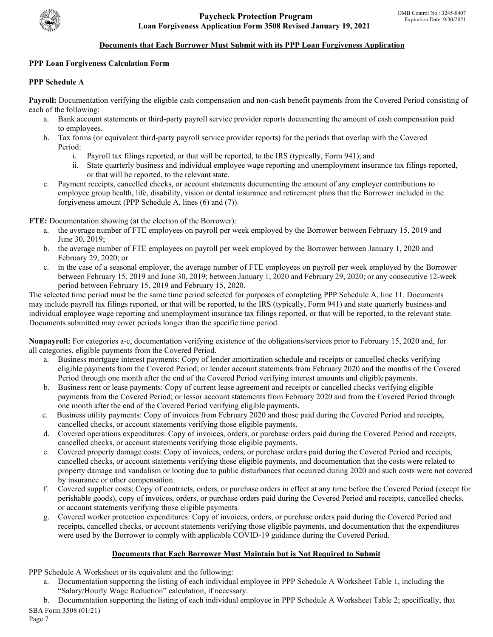

### **Documents that Each Borrower Must Submit with its PPP Loan Forgiveness Application**

### **PPP Loan Forgiveness Calculation Form**

### **PPP Schedule A**

**Payroll:** Documentation verifying the eligible cash compensation and non-cash benefit payments from the Covered Period consisting of each of the following:

- a. Bank account statements or third-party payroll service provider reports documenting the amount of cash compensation paid to employees.
- b. Tax forms (or equivalent third-party payroll service provider reports) for the periods that overlap with the Covered Period:
	- i. Payroll tax filings reported, or that will be reported, to the IRS (typically, Form 941); and
	- ii. State quarterly business and individual employee wage reporting and unemployment insurance tax filings reported, or that will be reported, to the relevant state.
- c. Payment receipts, cancelled checks, or account statements documenting the amount of any employer contributions to employee group health, life, disability, vision or dental insurance and retirement plans that the Borrower included in the forgiveness amount (PPP Schedule A, lines (6) and (7)).

**FTE:** Documentation showing (at the election of the Borrower):

- a. the average number of FTE employees on payroll per week employed by the Borrower between February 15, 2019 and June 30, 2019;
- b. the average number of FTE employees on payroll per week employed by the Borrower between January 1, 2020 and February 29, 2020; or
- c. in the case of a seasonal employer, the average number of FTE employees on payroll per week employed by the Borrower between February 15, 2019 and June 30, 2019; between January 1, 2020 and February 29, 2020; or any consecutive 12-week period between February 15, 2019 and February 15, 2020.

The selected time period must be the same time period selected for purposes of completing PPP Schedule A, line 11. Documents may include payroll tax filings reported, or that will be reported, to the IRS (typically, Form 941) and state quarterly business and individual employee wage reporting and unemployment insurance tax filings reported, or that will be reported, to the relevant state. Documents submitted may cover periods longer than the specific time period.

**Nonpayroll:** For categories a-c, documentation verifying existence of the obligations/services prior to February 15, 2020 and, for all categories, eligible payments from the Covered Period.

- a. Business mortgage interest payments: Copy of lender amortization schedule and receipts or cancelled checks verifying eligible payments from the Covered Period; or lender account statements from February 2020 and the months of the Covered Period through one month after the end of the Covered Period verifying interest amounts and eligible payments.
- b. Business rent or lease payments: Copy of current lease agreement and receipts or cancelled checks verifying eligible payments from the Covered Period; or lessor account statements from February 2020 and from the Covered Period through one month after the end of the Covered Period verifying eligible payments.
- c. Business utility payments: Copy of invoices from February 2020 and those paid during the Covered Period and receipts, cancelled checks, or account statements verifying those eligible payments.
- d. Covered operations expenditures: Copy of invoices, orders, or purchase orders paid during the Covered Period and receipts, cancelled checks, or account statements verifying those eligible payments.
- e. Covered property damage costs: Copy of invoices, orders, or purchase orders paid during the Covered Period and receipts, cancelled checks, or account statements verifying those eligible payments, and documentation that the costs were related to property damage and vandalism or looting due to public disturbances that occurred during 2020 and such costs were not covered by insurance or other compensation.
- f. Covered supplier costs: Copy of contracts, orders, or purchase orders in effect at any time before the Covered Period (except for perishable goods), copy of invoices, orders, or purchase orders paid during the Covered Period and receipts, cancelled checks, or account statements verifying those eligible payments.
- g. Covered worker protection expenditures: Copy of invoices, orders, or purchase orders paid during the Covered Period and receipts, cancelled checks, or account statements verifying those eligible payments, and documentation that the expenditures were used by the Borrower to comply with applicable COVID-19 guidance during the Covered Period.

### **Documents that Each Borrower Must Maintain but is Not Required to Submit**

- PPP Schedule A Worksheet or its equivalent and the following:
	- a. Documentation supporting the listing of each individual employee in PPP Schedule A Worksheet Table 1, including the "Salary/Hourly Wage Reduction" calculation, if necessary.
- SBA Form 3508 (01/21) b. Documentation supporting the listing of each individual employee in PPP Schedule A Worksheet Table 2; specifically, that

Page 7